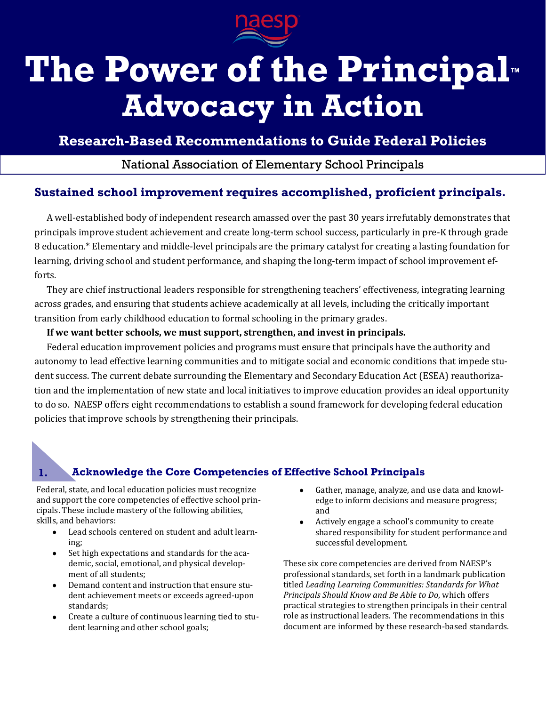

# **The Power of the Principal™ Advocacy in Action**

**Research-Based Recommendations to Guide Federal Policies**

National Association of Elementary School Principals

# **Sustained school improvement requires accomplished, proficient principals.**

A well-established body of independent research amassed over the past 30 years irrefutably demonstrates that principals improve student achievement and create long-term school success, particularly in pre-K through grade 8 education.\* Elementary and middle-level principals are the primary catalyst for creating a lasting foundation for learning, driving school and student performance, and shaping the long-term impact of school improvement efforts.

They are chief instructional leaders responsible for strengthening teachers' effectiveness, integrating learning across grades, and ensuring that students achieve academically at all levels, including the critically important transition from early childhood education to formal schooling in the primary grades.

### **If we want better schools, we must support, strengthen, and invest in principals.**

Federal education improvement policies and programs must ensure that principals have the authority and autonomy to lead effective learning communities and to mitigate social and economic conditions that impede student success. The current debate surrounding the Elementary and Secondary Education Act (ESEA) reauthorization and the implementation of new state and local initiatives to improve education provides an ideal opportunity to do so. NAESP offers eight recommendations to establish a sound framework for developing federal education policies that improve schools by strengthening their principals.

# **1. Acknowledge the Core Competencies of Effective School Principals**

Federal, state, and local education policies must recognize and support the core competencies of effective school principals. These include mastery of the following abilities, skills, and behaviors:

- Lead schools centered on student and adult learning;
- Set high expectations and standards for the aca- $\bullet$ demic, social, emotional, and physical development of all students;
- Demand content and instruction that ensure student achievement meets or exceeds agreed-upon standards;
- Create a culture of continuous learning tied to stu- $\bullet$ dent learning and other school goals;
- Gather, manage, analyze, and use data and knowledge to inform decisions and measure progress; and
- Actively engage a school's community to create shared responsibility for student performance and successful development.

These six core competencies are derived from NAESP's professional standards, set forth in a landmark publication titled *Leading Learning Communities: Standards for What Principals Should Know and Be Able to Do*, which offers practical strategies to strengthen principals in their central role as instructional leaders. The recommendations in this document are informed by these research-based standards.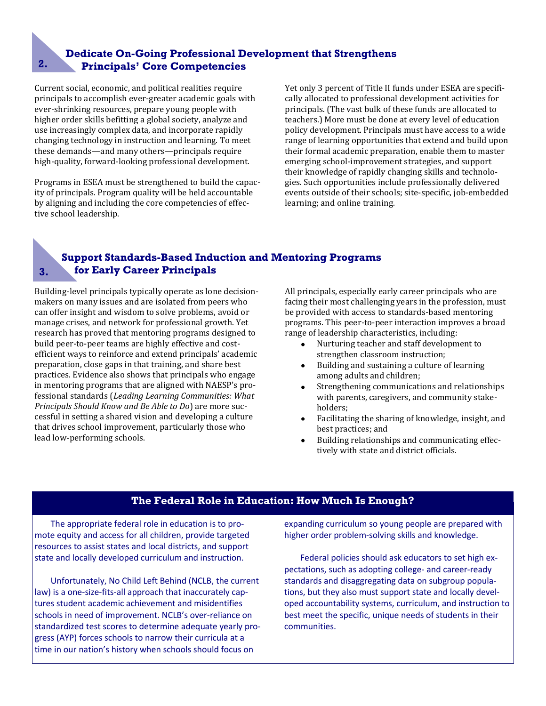# **Dedicate On-Going Professional Development that Strengthens 2. Principals' Core Competencies**

Current social, economic, and political realities require principals to accomplish ever-greater academic goals with ever-shrinking resources, prepare young people with higher order skills befitting a global society, analyze and use increasingly complex data, and incorporate rapidly changing technology in instruction and learning. To meet these demands—and many others—principals require high-quality, forward-looking professional development.

Programs in ESEA must be strengthened to build the capacity of principals. Program quality will be held accountable by aligning and including the core competencies of effective school leadership.

Yet only 3 percent of Title II funds under ESEA are specifically allocated to professional development activities for principals. (The vast bulk of these funds are allocated to teachers.) More must be done at every level of education policy development. Principals must have access to a wide range of learning opportunities that extend and build upon their formal academic preparation, enable them to master emerging school-improvement strategies, and support their knowledge of rapidly changing skills and technologies. Such opportunities include professionally delivered events outside of their schools; site-specific, job-embedded learning; and online training.

# **Support Standards-Based Induction and Mentoring Programs 3. for Early Career Principals**

Building-level principals typically operate as lone decisionmakers on many issues and are isolated from peers who can offer insight and wisdom to solve problems, avoid or manage crises, and network for professional growth. Yet research has proved that mentoring programs designed to build peer-to-peer teams are highly effective and costefficient ways to reinforce and extend principals' academic preparation, close gaps in that training, and share best practices. Evidence also shows that principals who engage in mentoring programs that are aligned with NAESP's professional standards (*Leading Learning Communities: What Principals Should Know and Be Able to Do*) are more successful in setting a shared vision and developing a culture that drives school improvement, particularly those who lead low-performing schools.

All principals, especially early career principals who are facing their most challenging years in the profession, must be provided with access to standards-based mentoring programs. This peer-to-peer interaction improves a broad range of leadership characteristics, including:

- $\bullet$ Nurturing teacher and staff development to strengthen classroom instruction;
- Building and sustaining a culture of learning  $\bullet$ among adults and children;
- $\bullet$ Strengthening communications and relationships with parents, caregivers, and community stakeholders;
- Facilitating the sharing of knowledge, insight, and  $\bullet$ best practices; and
- Building relationships and communicating effectively with state and district officials.

## **The Federal Role in Education: How Much Is Enough?**

The appropriate federal role in education is to promote equity and access for all children, provide targeted resources to assist states and local districts, and support state and locally developed curriculum and instruction.

Unfortunately, No Child Left Behind (NCLB, the current law) is a one-size-fits-all approach that inaccurately captures student academic achievement and misidentifies schools in need of improvement. NCLB's over-reliance on standardized test scores to determine adequate yearly progress (AYP) forces schools to narrow their curricula at a time in our nation's history when schools should focus on

expanding curriculum so young people are prepared with higher order problem-solving skills and knowledge.

Federal policies should ask educators to set high expectations, such as adopting college- and career-ready standards and disaggregating data on subgroup populations, but they also must support state and locally developed accountability systems, curriculum, and instruction to best meet the specific, unique needs of students in their communities.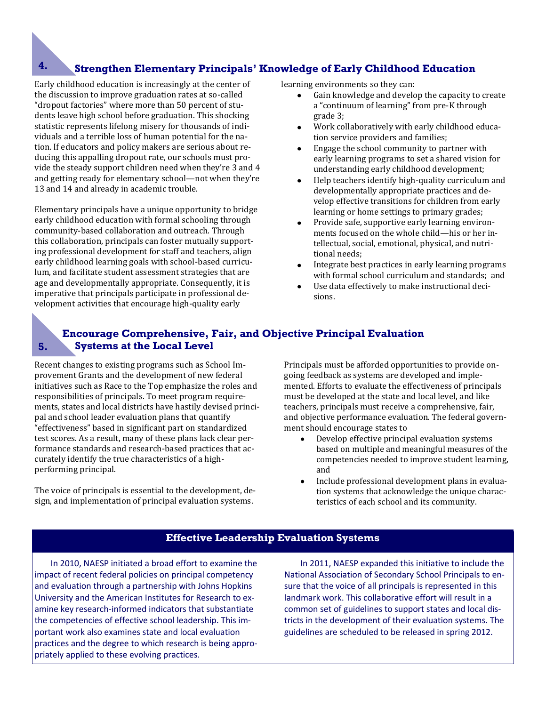# **4. Strengthen Elementary Principals' Knowledge of Early Childhood Education**

Early childhood education is increasingly at the center of the discussion to improve graduation rates at so-called "dropout factories" where more than 50 percent of students leave high school before graduation. This shocking statistic represents lifelong misery for thousands of individuals and a terrible loss of human potential for the nation. If educators and policy makers are serious about reducing this appalling dropout rate, our schools must provide the steady support children need when they're 3 and 4 and getting ready for elementary school—not when they're 13 and 14 and already in academic trouble.

Elementary principals have a unique opportunity to bridge early childhood education with formal schooling through community-based collaboration and outreach. Through this collaboration, principals can foster mutually supporting professional development for staff and teachers, align early childhood learning goals with school-based curriculum, and facilitate student assessment strategies that are age and developmentally appropriate. Consequently, it is imperative that principals participate in professional development activities that encourage high-quality early

learning environments so they can:

- Gain knowledge and develop the capacity to create a "continuum of learning" from pre-K through grade 3;
- Work collaboratively with early childhood education service providers and families;
- Engage the school community to partner with early learning programs to set a shared vision for understanding early childhood development;
- Help teachers identify high-quality curriculum and developmentally appropriate practices and develop effective transitions for children from early learning or home settings to primary grades;
- Provide safe, supportive early learning environments focused on the whole child—his or her intellectual, social, emotional, physical, and nutritional needs;
- Integrate best practices in early learning programs with formal school curriculum and standards; and
- Use data effectively to make instructional decisions.

## **Encourage Comprehensive, Fair, and Objective Principal Evaluation Systems at the Local Level**

Recent changes to existing programs such as School Improvement Grants and the development of new federal initiatives such as Race to the Top emphasize the roles and responsibilities of principals. To meet program requirements, states and local districts have hastily devised principal and school leader evaluation plans that quantify "effectiveness" based in significant part on standardized test scores. As a result, many of these plans lack clear performance standards and research-based practices that accurately identify the true characteristics of a highperforming principal.

**5.**

The voice of principals is essential to the development, design, and implementation of principal evaluation systems.

Principals must be afforded opportunities to provide ongoing feedback as systems are developed and implemented. Efforts to evaluate the effectiveness of principals must be developed at the state and local level, and like teachers, principals must receive a comprehensive, fair, and objective performance evaluation. The federal government should encourage states to

- Develop effective principal evaluation systems  $\bullet$ based on multiple and meaningful measures of the competencies needed to improve student learning, and
- Include professional development plans in evaluation systems that acknowledge the unique characteristics of each school and its community.

#### **Effective Leadership Evaluation Systems**

In 2010, NAESP initiated a broad effort to examine the impact of recent federal policies on principal competency and evaluation through a partnership with Johns Hopkins University and the American Institutes for Research to examine key research-informed indicators that substantiate the competencies of effective school leadership. This important work also examines state and local evaluation practices and the degree to which research is being appropriately applied to these evolving practices.

In 2011, NAESP expanded this initiative to include the National Association of Secondary School Principals to ensure that the voice of all principals is represented in this landmark work. This collaborative effort will result in a common set of guidelines to support states and local districts in the development of their evaluation systems. The guidelines are scheduled to be released in spring 2012.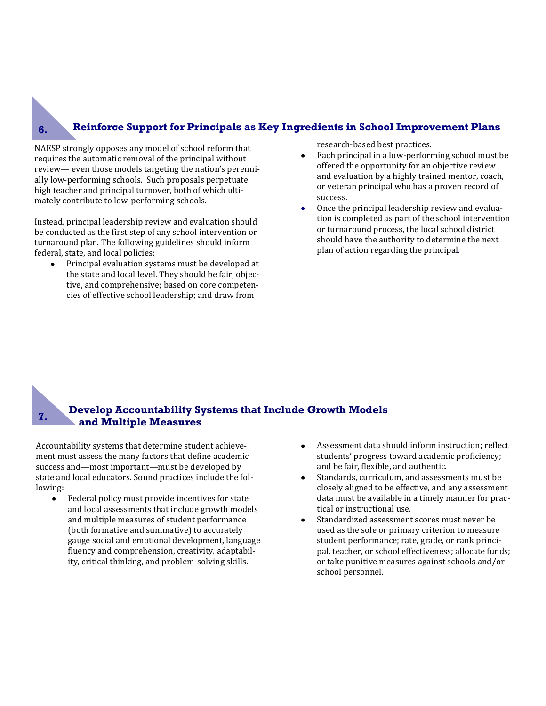## **Reinforce Support for Principals as Key Ingredients in School Improvement Plans**

NAESP strongly opposes any model of school reform that requires the automatic removal of the principal without review— even those models targeting the nation's perennially low-performing schools. Such proposals perpetuate high teacher and principal turnover, both of which ultimately contribute to low-performing schools.

Instead, principal leadership review and evaluation should be conducted as the first step of any school intervention or turnaround plan. The following guidelines should inform federal, state, and local policies:

Principal evaluation systems must be developed at the state and local level. They should be fair, objective, and comprehensive; based on core competencies of effective school leadership; and draw from

research-based best practices.

- $\bullet$ Each principal in a low-performing school must be offered the opportunity for an objective review and evaluation by a highly trained mentor, coach, or veteran principal who has a proven record of success.
- Once the principal leadership review and evalua- $\bullet$ tion is completed as part of the school intervention or turnaround process, the local school district should have the authority to determine the next plan of action regarding the principal.

#### **Develop Accountability Systems that Include Growth Models and Multiple Measures 7.**

Accountability systems that determine student achievement must assess the many factors that define academic success and—most important—must be developed by state and local educators. Sound practices include the following:

- Federal policy must provide incentives for state and local assessments that include growth models and multiple measures of student performance (both formative and summative) to accurately gauge social and emotional development, language fluency and comprehension, creativity, adaptability, critical thinking, and problem-solving skills.
- Assessment data should inform instruction; reflect  $\bullet$ students' progress toward academic proficiency; and be fair, flexible, and authentic.
- Standards, curriculum, and assessments must be closely aligned to be effective, and any assessment data must be available in a timely manner for practical or instructional use.
- Standardized assessment scores must never be used as the sole or primary criterion to measure student performance; rate, grade, or rank principal, teacher, or school effectiveness; allocate funds; or take punitive measures against schools and/or school personnel.

**6.**